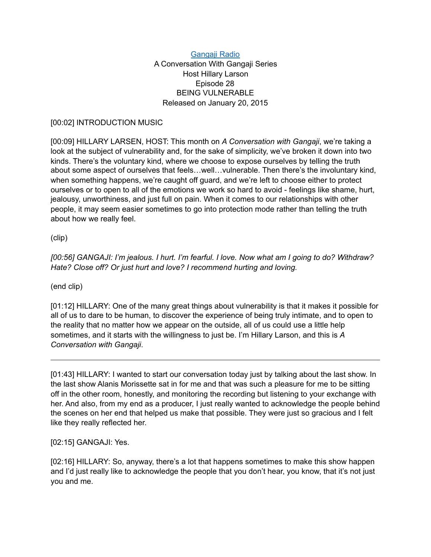## [Gangaji Radio](https://gangaji.org/podcast-library/)

## A Conversation With Gangaji Series Host Hillary Larson Episode 28 BEING VULNERABLE Released on January 20, 2015

## [00:02] INTRODUCTION MUSIC

[00:09] HILLARY LARSEN, HOST: This month on *A Conversation with Gangaji*, we're taking a look at the subject of vulnerability and, for the sake of simplicity, we've broken it down into two kinds. There's the voluntary kind, where we choose to expose ourselves by telling the truth about some aspect of ourselves that feels…well…vulnerable. Then there's the involuntary kind, when something happens, we're caught off guard, and we're left to choose either to protect ourselves or to open to all of the emotions we work so hard to avoid - feelings like shame, hurt, jealousy, unworthiness, and just full on pain. When it comes to our relationships with other people, it may seem easier sometimes to go into protection mode rather than telling the truth about how we really feel.

(clip)

*[00:56] GANGAJI: I'm jealous. I hurt. I'm fearful. I love. Now what am I going to do? Withdraw? Hate? Close off? Or just hurt and love? I recommend hurting and loving.* 

(end clip)

[01:12] HILLARY: One of the many great things about vulnerability is that it makes it possible for all of us to dare to be human, to discover the experience of being truly intimate, and to open to the reality that no matter how we appear on the outside, all of us could use a little help sometimes, and it starts with the willingness to just be. I'm Hillary Larson, and this is *A Conversation with Gangaji*.

[01:43] HILLARY: I wanted to start our conversation today just by talking about the last show. In the last show Alanis Morissette sat in for me and that was such a pleasure for me to be sitting off in the other room, honestly, and monitoring the recording but listening to your exchange with her. And also, from my end as a producer, I just really wanted to acknowledge the people behind the scenes on her end that helped us make that possible. They were just so gracious and I felt like they really reflected her.

[02:15] GANGAJI: Yes.

[02:16] HILLARY: So, anyway, there's a lot that happens sometimes to make this show happen and I'd just really like to acknowledge the people that you don't hear, you know, that it's not just you and me.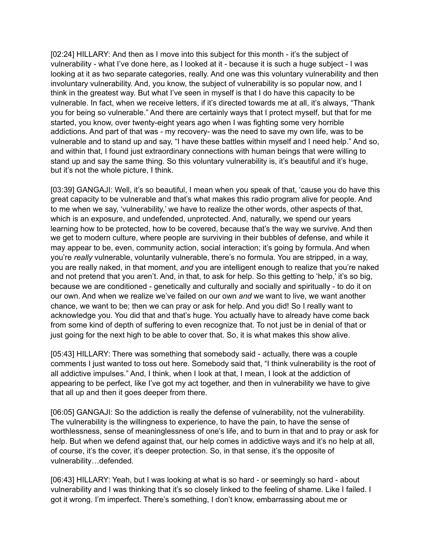[02:24] HILLARY: And then as I move into this subject for this month - it's the subject of vulnerability - what I've done here, as I looked at it - because it is such a huge subject - I was looking at it as two separate categories, really. And one was this voluntary vulnerability and then involuntary vulnerability. And, you know, the subject of vulnerability is so popular now, and I think in the greatest way. But what I've seen in myself is that I do have this capacity to be vulnerable. In fact, when we receive letters, if it's directed towards me at all, it's always, "Thank you for being so vulnerable." And there are certainly ways that I protect myself, but that for me started, you know, over twenty-eight years ago when I was fighting some very horrible addictions. And part of that was - my recovery- was the need to save my own life, was to be vulnerable and to stand up and say, "I have these battles within myself and I need help." And so, and within that, I found just extraordinary connections with human beings that were willing to stand up and say the same thing. So this voluntary vulnerability is, it's beautiful and it's huge, but it's not the whole picture, I think.

[03:39] GANGAJI: Well, it's so beautiful, I mean when you speak of that, 'cause you do have this great capacity to be vulnerable and that's what makes this radio program alive for people. And to me when we say, 'vulnerability,' we have to realize the other words, other aspects of that, which is an exposure, and undefended, unprotected. And, naturally, we spend our years learning how to be protected, how to be covered, because that's the way we survive. And then we get to modern culture, where people are surviving in their bubbles of defense, and while it may appear to be, even, community action, social interaction; it's going by formula. And when you're *really* vulnerable, voluntarily vulnerable, there's no formula. You are stripped, in a way, you are really naked, in that moment, *and* you are intelligent enough to realize that you're naked and not pretend that you aren't. And, in that, to ask for help. So this getting to 'help,' it's so big, because we are conditioned - genetically and culturally and socially and spiritually - to do it on our own. And when we realize we've failed on our own *and* we want to live, we want another chance, we want to be; then we can pray or ask for help. And you did! So I really want to acknowledge you. You did that and that's huge. You actually have to already have come back from some kind of depth of suffering to even recognize that. To not just be in denial of that or just going for the next high to be able to cover that. So, it is what makes this show alive.

[05:43] HILLARY: There was something that somebody said - actually, there was a couple comments I just wanted to toss out here. Somebody said that, "I think vulnerability is the root of all addictive impulses." And, I think, when I look at that, I mean, I look at the addiction of appearing to be perfect, like I've got my act together, and then in vulnerability we have to give that all up and then it goes deeper from there.

[06:05] GANGAJI: So the addiction is really the defense of vulnerability, not the vulnerability. The vulnerability is the willingness to experience, to have the pain, to have the sense of worthlessness, sense of meaninglessness of one's life, and to burn in that and to pray or ask for help. But when we defend against that, our help comes in addictive ways and it's no help at all, of course, it's the cover, it's deeper protection. So, in that sense, it's the opposite of vulnerability…defended.

[06:43] HILLARY: Yeah, but I was looking at what is so hard - or seemingly so hard - about vulnerability and I was thinking that it's so closely linked to the feeling of shame. Like I failed. I got it wrong. I'm imperfect. There's something, I don't know, embarrassing about me or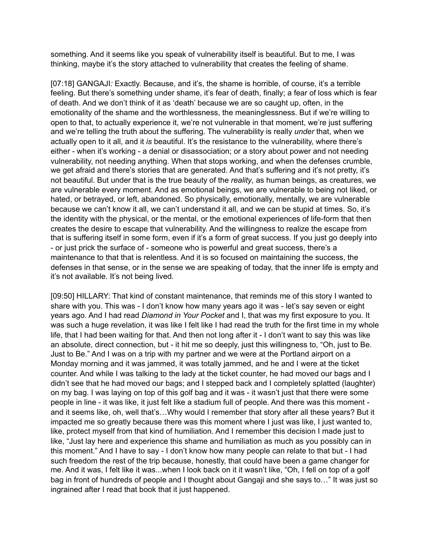something. And it seems like you speak of vulnerability itself is beautiful. But to me, I was thinking, maybe it's the story attached to vulnerability that creates the feeling of shame.

[07:18] GANGAJI*:* Exactly. Because, and it's, the shame is horrible, of course, it's a terrible feeling. But there's something under shame, it's fear of death, finally; a fear of loss which is fear of death. And we don't think of it as 'death' because we are so caught up, often, in the emotionality of the shame and the worthlessness, the meaninglessness. But if we're willing to open to that, to actually experience it, we're not vulnerable in that moment, we're just suffering and we're telling the truth about the suffering. The vulnerability is really *under* that, when we actually open to it all, and it *is* beautiful. It's the resistance to the vulnerability, where there's either - when it's working - a denial or disassociation; or a story about power and not needing vulnerability, not needing anything. When that stops working, and when the defenses crumble, we get afraid and there's stories that are generated. And that's suffering and it's not pretty, it's not beautiful. But under that is the true beauty of the *reality*, as human beings, as creatures, we are vulnerable every moment. And as emotional beings, we are vulnerable to being not liked, or hated, or betrayed, or left, abandoned. So physically, emotionally, mentally, we are vulnerable because we can't know it all, we can't understand it all, and we can be stupid at times. So, it's the identity with the physical, or the mental, or the emotional experiences of life-form that then creates the desire to escape that vulnerability. And the willingness to realize the escape from that is suffering itself in some form, even if it's a form of great success. If you just go deeply into - or just prick the surface of - someone who is powerful and great success, there's a maintenance to that that is relentless. And it is so focused on maintaining the success, the defenses in that sense, or in the sense we are speaking of today, that the inner life is empty and it's not available. It's not being lived.

[09:50] HILLARY: That kind of constant maintenance, that reminds me of this story I wanted to share with you. This was - I don't know how many years ago it was - let's say seven or eight years ago. And I had read *Diamond in Your Pocket* and I, that was my first exposure to you. It was such a huge revelation, it was like I felt like I had read the truth for the first time in my whole life, that I had been waiting for that. And then not long after it - I don't want to say this was like an absolute, direct connection, but - it hit me so deeply, just this willingness to, "Oh, just to Be. Just to Be." And I was on a trip with my partner and we were at the Portland airport on a Monday morning and it was jammed, it was totally jammed, and he and I were at the ticket counter. And while I was talking to the lady at the ticket counter, he had moved our bags and I didn't see that he had moved our bags; and I stepped back and I completely splatted (laughter) on my bag. I was laying on top of this golf bag and it was - it wasn't just that there were some people in line - it was like, it just felt like a stadium full of people. And there was this moment and it seems like, oh, well that's…Why would I remember that story after all these years? But it impacted me so greatly because there was this moment where I just was like, I just wanted to, like, protect myself from that kind of humiliation. And I remember this decision I made just to like, "Just lay here and experience this shame and humiliation as much as you possibly can in this moment." And I have to say - I don't know how many people can relate to that but - I had such freedom the rest of the trip because, honestly, that could have been a game changer for me. And it was, I felt like it was...when I look back on it it wasn't like, "Oh, I fell on top of a golf bag in front of hundreds of people and I thought about Gangaji and she says to…" It was just so ingrained after I read that book that it just happened.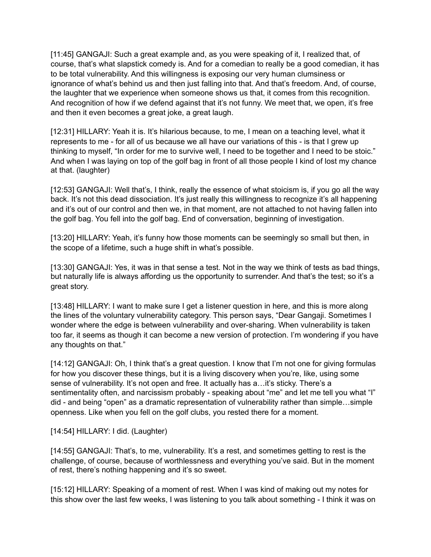[11:45] GANGAJI: Such a great example and, as you were speaking of it, I realized that, of course, that's what slapstick comedy is. And for a comedian to really be a good comedian, it has to be total vulnerability. And this willingness is exposing our very human clumsiness or ignorance of what's behind us and then just falling into that. And that's freedom, And, of course, the laughter that we experience when someone shows us that, it comes from this recognition. And recognition of how if we defend against that it's not funny. We meet that, we open, it's free and then it even becomes a great joke, a great laugh.

[12:31] HILLARY: Yeah it is. It's hilarious because, to me, I mean on a teaching level, what it represents to me - for all of us because we all have our variations of this - is that I grew up thinking to myself, "In order for me to survive well, I need to be together and I need to be stoic." And when I was laying on top of the golf bag in front of all those people I kind of lost my chance at that. (laughter)

[12:53] GANGAJI: Well that's, I think, really the essence of what stoicism is, if you go all the way back. It's not this dead dissociation. It's just really this willingness to recognize it's all happening and it's out of our control and then we, in that moment, are not attached to not having fallen into the golf bag. You fell into the golf bag. End of conversation, beginning of investigation.

[13:20] HILLARY: Yeah, it's funny how those moments can be seemingly so small but then, in the scope of a lifetime, such a huge shift in what's possible.

[13:30] GANGAJI: Yes, it was in that sense a test. Not in the way we think of tests as bad things, but naturally life is always affording us the opportunity to surrender. And that's the test; so it's a great story.

[13:48] HILLARY: I want to make sure I get a listener question in here, and this is more along the lines of the voluntary vulnerability category. This person says, "Dear Gangaji. Sometimes I wonder where the edge is between vulnerability and over-sharing. When vulnerability is taken too far, it seems as though it can become a new version of protection. I'm wondering if you have any thoughts on that."

[14:12] GANGAJI: Oh, I think that's a great question. I know that I'm not one for giving formulas for how you discover these things, but it is a living discovery when you're, like, using some sense of vulnerability. It's not open and free. It actually has a... it's sticky. There's a sentimentality often, and narcissism probably - speaking about "me" and let me tell you what "I" did - and being "open" as a dramatic representation of vulnerability rather than simple…simple openness. Like when you fell on the golf clubs, you rested there for a moment.

[14:54] HILLARY: I did. (Laughter)

[14:55] GANGAJI: That's, to me, vulnerability. It's a rest, and sometimes getting to rest is the challenge, of course, because of worthlessness and everything you've said. But in the moment of rest, there's nothing happening and it's so sweet.

[15:12] HILLARY: Speaking of a moment of rest. When I was kind of making out my notes for this show over the last few weeks, I was listening to you talk about something - I think it was on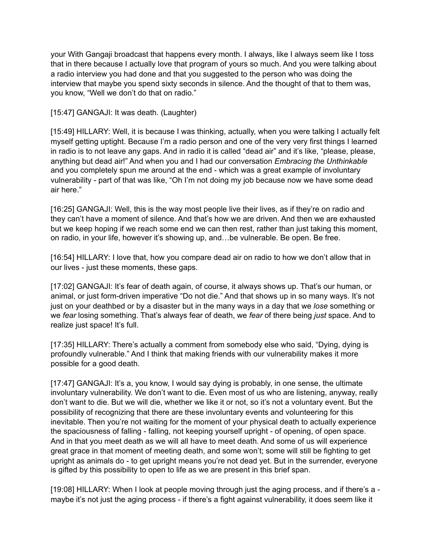your With Gangaji broadcast that happens every month. I always, like I always seem like I toss that in there because I actually love that program of yours so much. And you were talking about a radio interview you had done and that you suggested to the person who was doing the interview that maybe you spend sixty seconds in silence. And the thought of that to them was, you know, "Well we don't do that on radio."

## [15:47] GANGAJI: It was death. (Laughter)

[15:49] HILLARY: Well, it is because I was thinking, actually, when you were talking I actually felt myself getting uptight. Because I'm a radio person and one of the very very first things I learned in radio is to not leave any gaps. And in radio it is called "dead air" and it's like, "please, please, anything but dead air!" And when you and I had our conversation *Embracing the Unthinkable* and you completely spun me around at the end - which was a great example of involuntary vulnerability - part of that was like, "Oh I'm not doing my job because now we have some dead air here."

[16:25] GANGAJI: Well, this is the way most people live their lives, as if they're on radio and they can't have a moment of silence. And that's how we are driven. And then we are exhausted but we keep hoping if we reach some end we can then rest, rather than just taking this moment, on radio, in your life, however it's showing up, and…be vulnerable. Be open. Be free.

[16:54] HILLARY: I love that, how you compare dead air on radio to how we don't allow that in our lives - just these moments, these gaps.

[17:02] GANGAJI: It's fear of death again, of course, it always shows up. That's our human, or animal, or just form-driven imperative "Do not die." And that shows up in so many ways. It's not just on your deathbed or by a disaster but in the many ways in a day that we *lose* something or we *fear* losing something. That's always fear of death, we *fear* of there being *just* space. And to realize just space! It's full.

[17:35] HILLARY: There's actually a comment from somebody else who said, "Dying, dying is profoundly vulnerable." And I think that making friends with our vulnerability makes it more possible for a good death.

[17:47] GANGAJI: It's a, you know, I would say dying is probably, in one sense, the ultimate involuntary vulnerability. We don't want to die. Even most of us who are listening, anyway, really don't want to die. But we will die, whether we like it or not, so it's not a voluntary event. But the possibility of recognizing that there are these involuntary events and volunteering for this inevitable. Then you're not waiting for the moment of your physical death to actually experience the spaciousness of falling - falling, not keeping yourself upright - of opening, of open space. And in that you meet death as we will all have to meet death. And some of us will experience great grace in that moment of meeting death, and some won't; some will still be fighting to get upright as animals do - to get upright means you're not dead yet. But in the surrender, everyone is gifted by this possibility to open to life as we are present in this brief span.

[19:08] HILLARY: When I look at people moving through just the aging process, and if there's a maybe it's not just the aging process - if there's a fight against vulnerability, it does seem like it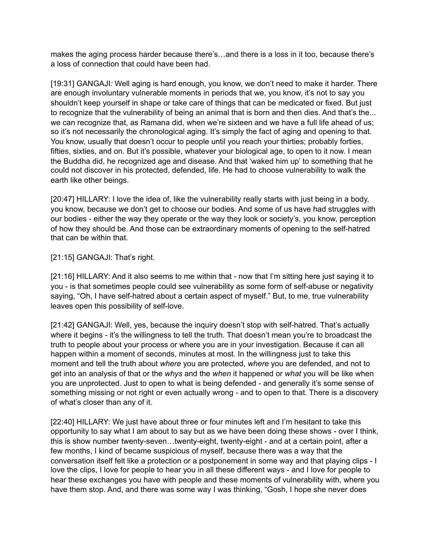makes the aging process harder because there's…and there is a loss in it too, because there's a loss of connection that could have been had.

[19:31] GANGAJI: Well aging is hard enough, you know, we don't need to make it harder. There are enough involuntary vulnerable moments in periods that we, you know, it's not to say you shouldn't keep yourself in shape or take care of things that can be medicated or fixed. But just to recognize that the vulnerability of being an animal that is born and then dies. And that's the... we can recognize that, as Ramana did, when we're sixteen and we have a full life ahead of us; so it's not necessarily the chronological aging. It's simply the fact of aging and opening to that. You know, usually that doesn't occur to people until you reach your thirties; probably forties, fifties, sixties, and on. But it's possible, whatever your biological age, to open to it now. I mean the Buddha did, he recognized age and disease. And that 'waked him up' to something that he could not discover in his protected, defended, life. He had to choose vulnerability to walk the earth like other beings.

[20:47] HILLARY: I love the idea of, like the vulnerability really starts with just being in a body, you know, because we don't get to choose our bodies. And some of us have had struggles with our bodies - either the way they operate or the way they look or society's, you know, perception of how they should be. And those can be extraordinary moments of opening to the self-hatred that can be within that.

[21:15] GANGAJI: That's right.

[21:16] HILLARY: And it also seems to me within that - now that I'm sitting here just saying it to you - is that sometimes people could see vulnerability as some form of self-abuse or negativity saying, "Oh, I have self-hatred about a certain aspect of myself." But, to me, true vulnerability leaves open this possibility of self-love.

[21:42] GANGAJI: Well, yes, because the inquiry doesn't stop with self-hatred. That's actually where it begins - it's the willingness to tell the truth. That doesn't mean you're to broadcast the truth to people about your process or where you are in your investigation. Because it can all happen within a moment of seconds, minutes at most. In the willingness just to take this moment and tell the truth about *where* you are protected, *where* you are defended, and not to get into an analysis of that or the *whys* and the *when* it happened or *what* you will be like when you are unprotected. Just to open to what is being defended - and generally it's some sense of something missing or not right or even actually wrong - and to open to that. There is a discovery of what's closer than any of it.

[22:40] HILLARY: We just have about three or four minutes left and I'm hesitant to take this opportunity to say what I am about to say but as we have been doing these shows - over I think, this is show number twenty-seven…twenty-eight, twenty-eight - and at a certain point, after a few months, I kind of became suspicious of myself, because there was a way that the conversation itself felt like a protection or a postponement in some way and that playing clips - I love the clips, I love for people to hear you in all these different ways - and I love for people to hear these exchanges you have with people and these moments of vulnerability with, where you have them stop. And, and there was some way I was thinking, "Gosh, I hope she never does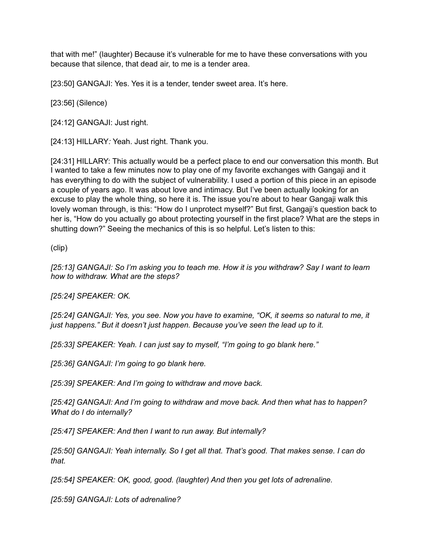that with me!" (laughter) Because it's vulnerable for me to have these conversations with you because that silence, that dead air, to me is a tender area.

[23:50] GANGAJI: Yes. Yes it is a tender, tender sweet area. It's here.

[23:56] (Silence)

[24:12] GANGAJI: Just right.

[24:13] HILLARY*:* Yeah. Just right. Thank you.

[24:31] HILLARY: This actually would be a perfect place to end our conversation this month. But I wanted to take a few minutes now to play one of my favorite exchanges with Gangaji and it has everything to do with the subject of vulnerability. I used a portion of this piece in an episode a couple of years ago. It was about love and intimacy. But I've been actually looking for an excuse to play the whole thing, so here it is. The issue you're about to hear Gangaji walk this lovely woman through, is this: "How do I unprotect myself?" But first, Gangaji's question back to her is, "How do you actually go about protecting yourself in the first place? What are the steps in shutting down?" Seeing the mechanics of this is so helpful. Let's listen to this:

(clip)

*[25:13] GANGAJI: So I'm asking you to teach me. How it is you withdraw? Say I want to learn how to withdraw. What are the steps?* 

*[25:24] SPEAKER: OK.* 

*[25:24] GANGAJI: Yes, you see. Now you have to examine, "OK, it seems so natural to me, it just happens." But it doesn't just happen. Because you've seen the lead up to it.* 

*[25:33] SPEAKER: Yeah. I can just say to myself, "I'm going to go blank here."* 

*[25:36] GANGAJI: I'm going to go blank here.* 

*[25:39] SPEAKER: And I'm going to withdraw and move back.* 

*[25:42] GANGAJI: And I'm going to withdraw and move back. And then what has to happen? What do I do internally?* 

*[25:47] SPEAKER: And then I want to run away. But internally?* 

*[25:50] GANGAJI: Yeah internally. So I get all that. That's good. That makes sense. I can do that.* 

*[25:54] SPEAKER: OK, good, good. (laughter) And then you get lots of adrenaline.* 

*[25:59] GANGAJI: Lots of adrenaline?*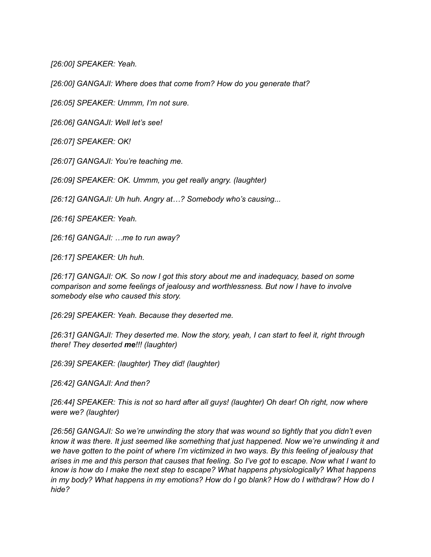*[26:00] SPEAKER: Yeah.* 

*[26:00] GANGAJI: Where does that come from? How do you generate that?* 

*[26:05] SPEAKER: Ummm, I'm not sure.* 

*[26:06] GANGAJI: Well let's see!* 

*[26:07] SPEAKER: OK!* 

*[26:07] GANGAJI: You're teaching me.* 

*[26:09] SPEAKER: OK. Ummm, you get really angry. (laughter)* 

*[26:12] GANGAJI: Uh huh. Angry at…? Somebody who's causing...* 

*[26:16] SPEAKER: Yeah.* 

*[26:16] GANGAJI: …me to run away?* 

*[26:17] SPEAKER: Uh huh.* 

*[26:17] GANGAJI: OK. So now I got this story about me and inadequacy, based on some comparison and some feelings of jealousy and worthlessness. But now I have to involve somebody else who caused this story.* 

*[26:29] SPEAKER: Yeah. Because they deserted me.* 

*[26:31] GANGAJI: They deserted me. Now the story, yeah, I can start to feel it, right through there! They deserted me!!! (laughter)* 

*[26:39] SPEAKER: (laughter) They did! (laughter)* 

*[26:42] GANGAJI: And then?* 

*[26:44] SPEAKER: This is not so hard after all guys! (laughter) Oh dear! Oh right, now where were we? (laughter)* 

*[26:56] GANGAJI: So we're unwinding the story that was wound so tightly that you didn't even know it was there. It just seemed like something that just happened. Now we're unwinding it and we have gotten to the point of where I'm victimized in two ways. By this feeling of jealousy that arises in me and this person that causes that feeling. So I've got to escape. Now what I want to know is how do I make the next step to escape? What happens physiologically? What happens in my body? What happens in my emotions? How do I go blank? How do I withdraw? How do I hide?*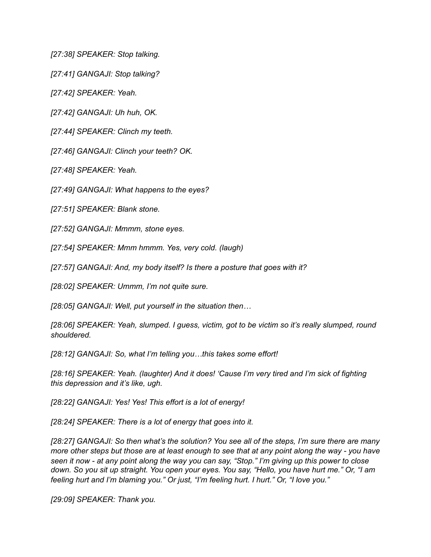*[27:38] SPEAKER: Stop talking.* 

*[27:41] GANGAJI: Stop talking?* 

*[27:42] SPEAKER: Yeah.* 

*[27:42] GANGAJI: Uh huh, OK.* 

*[27:44] SPEAKER: Clinch my teeth.* 

*[27:46] GANGAJI: Clinch your teeth? OK.* 

*[27:48] SPEAKER: Yeah.* 

*[27:49] GANGAJI: What happens to the eyes?* 

*[27:51] SPEAKER: Blank stone.* 

*[27:52] GANGAJI: Mmmm, stone eyes.* 

*[27:54] SPEAKER: Mmm hmmm. Yes, very cold. (laugh)* 

*[27:57] GANGAJI: And, my body itself? Is there a posture that goes with it?* 

*[28:02] SPEAKER: Ummm, I'm not quite sure.* 

*[28:05] GANGAJI: Well, put yourself in the situation then…*

*[28:06] SPEAKER: Yeah, slumped. I guess, victim, got to be victim so it's really slumped, round shouldered.* 

*[28:12] GANGAJI: So, what I'm telling you…this takes some effort!* 

*[28:16] SPEAKER: Yeah. (laughter) And it does! 'Cause I'm very tired and I'm sick of fighting this depression and it's like, ugh.* 

*[28:22] GANGAJI: Yes! Yes! This effort is a lot of energy!* 

*[28:24] SPEAKER: There is a lot of energy that goes into it.* 

*[28:27] GANGAJI: So then what's the solution? You see all of the steps, I'm sure there are many more other steps but those are at least enough to see that at any point along the way - you have seen it now - at any point along the way you can say, "Stop." I'm giving up this power to close down. So you sit up straight. You open your eyes. You say, "Hello, you have hurt me." Or, "I am feeling hurt and I'm blaming you." Or just, "I'm feeling hurt. I hurt." Or, "I love you."* 

*[29:09] SPEAKER: Thank you.*